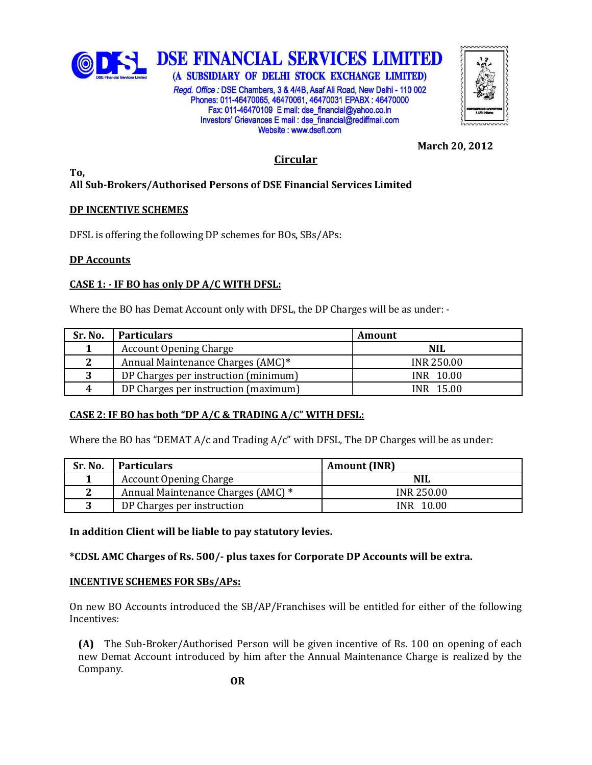

(A SUBSIDIARY OF DELHI STOCK EXCHANGE LIMITED) Regd. Office: DSE Chambers, 3 & 4/4B, Asaf Ali Road, New Delhi - 110 002 Phones: 011-46470065, 46470061, 46470031 EPABX: 46470000 Fax: 011-46470109 E mail: dse financial@yahoo.co.in Investors' Grievances E mail : dse financial@rediffmail.com Website: www.dsefl.com



**March 20, 2012**

# **Circular**

#### **To, All Sub-Brokers/Authorised Persons of DSE Financial Services Limited**

# **DP INCENTIVE SCHEMES**

DFSL is offering the following DP schemes for BOs, SBs/APs:

# **DP Accounts**

# **CASE 1: - IF BO has only DP A/C WITH DFSL:**

Where the BO has Demat Account only with DFSL, the DP Charges will be as under: -

| Sr. No. | <b>Particulars</b>                   | <b>Amount</b>     |
|---------|--------------------------------------|-------------------|
|         | <b>Account Opening Charge</b>        | <b>NIL</b>        |
| 2       | Annual Maintenance Charges (AMC)*    | <b>INR 250.00</b> |
|         | DP Charges per instruction (minimum) | INR 10.00         |
| 4       | DP Charges per instruction (maximum) | INR 15.00         |

## **CASE 2: IF BO has both "DP A/C & TRADING A/C" WITH DFSL:**

Where the BO has "DEMAT  $A/c$  and Trading  $A/c$ " with DFSL, The DP Charges will be as under:

| Sr. No. | <b>Particulars</b>                 | <b>Amount (INR)</b> |
|---------|------------------------------------|---------------------|
|         | <b>Account Opening Charge</b>      | <b>NIL</b>          |
| ◠       | Annual Maintenance Charges (AMC) * | <b>INR 250.00</b>   |
| ົ       | DP Charges per instruction         | INR 10.00           |

**In addition Client will be liable to pay statutory levies.**

**\*CDSL AMC Charges of Rs. 500/- plus taxes for Corporate DP Accounts will be extra.** 

## **INCENTIVE SCHEMES FOR SBs/APs:**

On new BO Accounts introduced the SB/AP/Franchises will be entitled for either of the following Incentives:

**(A)** The Sub-Broker/Authorised Person will be given incentive of Rs. 100 on opening of each new Demat Account introduced by him after the Annual Maintenance Charge is realized by the Company.